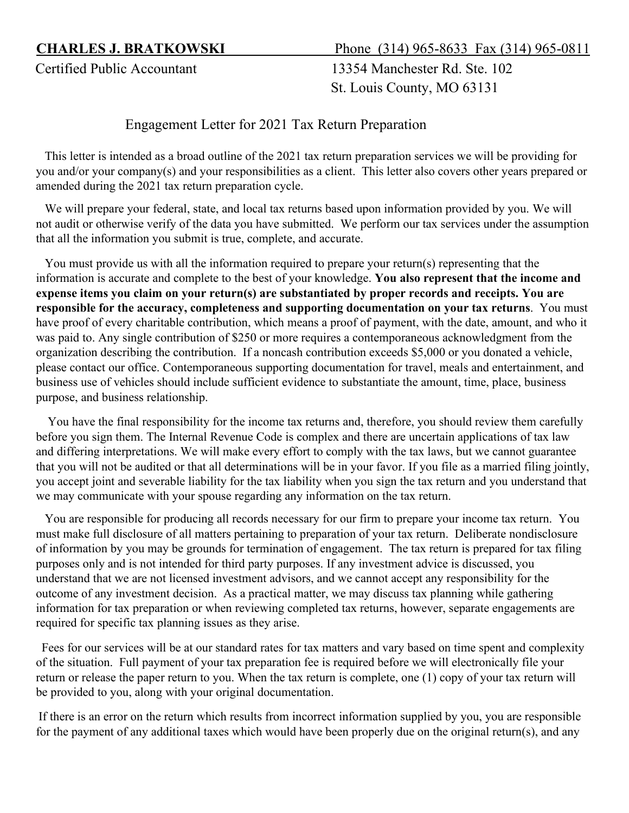**CHARLES J. BRATKOWSKI** Phone(314) 965-8633 Fax (314) 965-0811

Certified Public Accountant 13354 Manchester Rd. Ste. 102 St. Louis County, MO 63131

Engagement Letter for 2021 Tax Return Preparation

 This letter is intended as a broad outline of the 2021 tax return preparation services we will be providing for you and/or your company(s) and your responsibilities as a client. This letter also covers other years prepared or amended during the 2021 tax return preparation cycle.

 We will prepare your federal, state, and local tax returns based upon information provided by you. We will not audit or otherwise verify of the data you have submitted. We perform our tax services under the assumption that all the information you submit is true, complete, and accurate.

 You must provide us with all the information required to prepare your return(s) representing that the information is accurate and complete to the best of your knowledge. **You also represent that the income and expense items you claim on your return(s) are substantiated by proper records and receipts. You are responsible for the accuracy, completeness and supporting documentation on your tax returns**. You must have proof of every charitable contribution, which means a proof of payment, with the date, amount, and who it was paid to. Any single contribution of \$250 or more requires a contemporaneous acknowledgment from the organization describing the contribution. If a noncash contribution exceeds \$5,000 or you donated a vehicle, please contact our office. Contemporaneous supporting documentation for travel, meals and entertainment, and business use of vehicles should include sufficient evidence to substantiate the amount, time, place, business purpose, and business relationship.

 You have the final responsibility for the income tax returns and, therefore, you should review them carefully before you sign them. The Internal Revenue Code is complex and there are uncertain applications of tax law and differing interpretations. We will make every effort to comply with the tax laws, but we cannot guarantee that you will not be audited or that all determinations will be in your favor. If you file as a married filing jointly, you accept joint and severable liability for the tax liability when you sign the tax return and you understand that we may communicate with your spouse regarding any information on the tax return.

 You are responsible for producing all records necessary for our firm to prepare your income tax return. You must make full disclosure of all matters pertaining to preparation of your tax return. Deliberate nondisclosure of information by you may be grounds for termination of engagement. The tax return is prepared for tax filing purposes only and is not intended for third party purposes. If any investment advice is discussed, you understand that we are not licensed investment advisors, and we cannot accept any responsibility for the outcome of any investment decision. As a practical matter, we may discuss tax planning while gathering information for tax preparation or when reviewing completed tax returns, however, separate engagements are required for specific tax planning issues as they arise.

 Fees for our services will be at our standard rates for tax matters and vary based on time spent and complexity of the situation. Full payment of your tax preparation fee is required before we will electronically file your return or release the paper return to you. When the tax return is complete, one (1) copy of your tax return will be provided to you, along with your original documentation.

If there is an error on the return which results from incorrect information supplied by you, you are responsible for the payment of any additional taxes which would have been properly due on the original return(s), and any